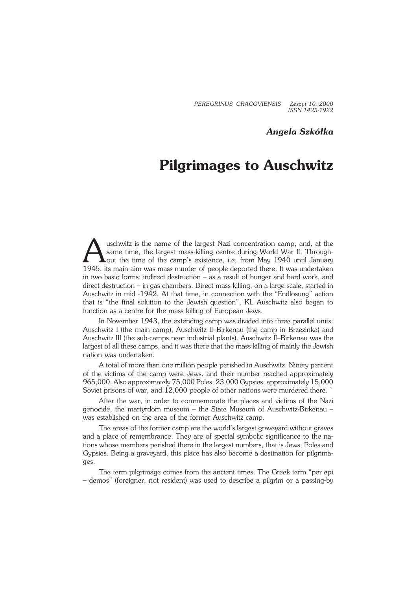*PEREGRINUS CRACOVIENSIS Zeszyt 10, 2000 ISSN 1425−1922*

### *Angela Szkółka*

# **Pilgrimages to Auschwitz**

uschwitz is the name of the largest Nazi concentration camp, and, at the same time, the largest mass-killing centre during World War II. Through-<br>out the time of the camp's existence, i.e. from May 1940 until January<br>1945, uschwitz is the name of the largest Nazi concentration camp, and, at the same time, the largest mass-killing centre during World War II. Throughout the time of the camp's existence, i.e. from May 1940 until January in two basic forms: indirect destruction – as a result of hunger and hard work, and direct destruction – in gas chambers. Direct mass killing, on a large scale, started in Auschwitz in mid −1942. At that time, in connection with the "Endlosung" action that is "the final solution to the Jewish question", KL Auschwitz also began to function as a centre for the mass killing of European Jews.

In November 1943, the extending camp was divided into three parallel units: Auschwitz I (the main camp), Auschwitz II–Birkenau (the camp in Brzezinka) and Auschwitz III (the sub−camps near industrial plants). Auschwitz II–Birkenau was the largest of all these camps, and it was there that the mass killing of mainly the Jewish nation was undertaken.

A total of more than one million people perished in Auschwitz. Ninety percent of the victims of the camp were Jews, and their number reached approximately 965,000. Also approximately 75,000 Poles, 23,000 Gypsies, approximately 15,000 Soviet prisons of war, and 12,000 people of other nations were murdered there.<sup>1</sup>

After the war, in order to commemorate the places and victims of the Nazi genocide, the martyrdom museum – the State Museum of Auschwitz−Birkenau – was established on the area of the former Auschwitz camp.

The areas of the former camp are the world's largest graveyard without graves and a place of remembrance. They are of special symbolic significance to the na− tions whose members perished there in the largest numbers, that is Jews, Poles and Gypsies. Being a graveyard, this place has also become a destination for pilgrima− ges.

The term pilgrimage comes from the ancient times. The Greek term "per epi – demos" (foreigner, not resident) was used to describe a pilgrim or a passing−by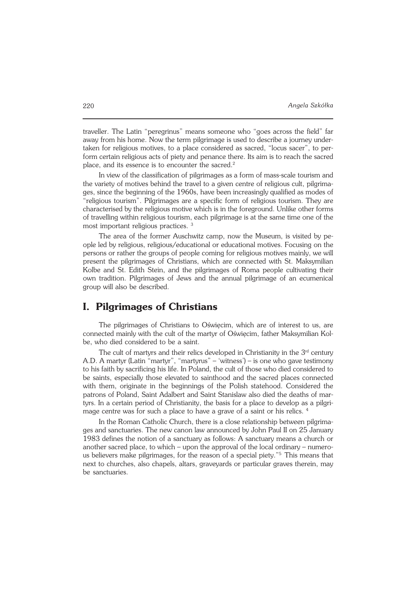traveller. The Latin "peregrinus" means someone who "goes across the field" far away from his home. Now the term pilgrimage is used to describe a journey under− taken for religious motives, to a place considered as sacred, "locus sacer", to per− form certain religious acts of piety and penance there. Its aim is to reach the sacred place, and its essence is to encounter the sacred.<sup>2</sup>

In view of the classification of pilgrimages as a form of mass−scale tourism and the variety of motives behind the travel to a given centre of religious cult, pilgrima− ges, since the beginning of the 1960s, have been increasingly qualified as modes of "religious tourism". Pilgrimages are a specific form of religious tourism. They are characterised by the religious motive which is in the foreground. Unlike other forms of travelling within religious tourism, each pilgrimage is at the same time one of the most important religious practices. <sup>3</sup>

The area of the former Auschwitz camp, now the Museum, is visited by pe− ople led by religious, religious/educational or educational motives. Focusing on the persons or rather the groups of people coming for religious motives mainly, we will present the pilgrimages of Christians, which are connected with St. Maksymilian Kolbe and St. Edith Stein, and the pilgrimages of Roma people cultivating their own tradition. Pilgrimages of Jews and the annual pilgrimage of an ecumenical group will also be described.

## **I. Pilgrimages of Christians**

The pilgrimages of Christians to Oświęcim, which are of interest to us, are connected mainly with the cult of the martyr of Oświęcim, father Maksymilian Kol− be, who died considered to be a saint.

The cult of martyrs and their relics developed in Christianity in the  $3<sup>rd</sup>$  century A.D. A martyr (Latin "martyr", "martyrus" – 'witness') – is one who gave testimony to his faith by sacrificing his life. In Poland, the cult of those who died considered to be saints, especially those elevated to sainthood and the sacred places connected with them, originate in the beginnings of the Polish statehood. Considered the patrons of Poland, Saint Adalbert and Saint Stanislaw also died the deaths of mar− tyrs. In a certain period of Christianity, the basis for a place to develop as a pilgri− mage centre was for such a place to have a grave of a saint or his relics. <sup>4</sup>

In the Roman Catholic Church, there is a close relationship between pilgrima− ges and sanctuaries. The new canon law announced by John Paul II on 25 January 1983 defines the notion of a sanctuary as follows: A sanctuary means a church or another sacred place, to which – upon the approval of the local ordinary – numero− us believers make pilgrimages, for the reason of a special piety."<sup>5</sup> This means that next to churches, also chapels, altars, graveyards or particular graves therein, may be sanctuaries.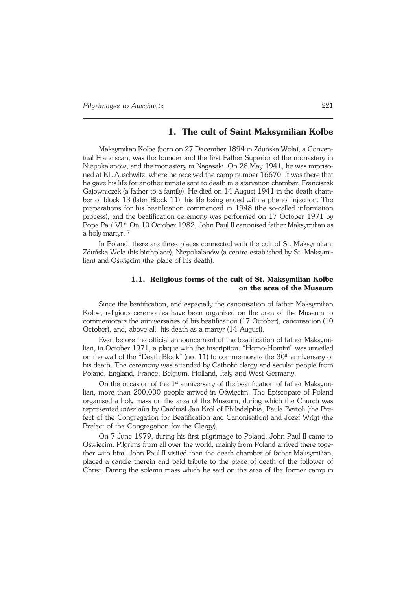### **1. The cult of Saint Maksymilian Kolbe**

Maksymilian Kolbe (born on 27 December 1894 in Zduńska Wola), a Conven− tual Franciscan, was the founder and the first Father Superior of the monastery in Niepokalanów, and the monastery in Nagasaki. On 28 May 1941, he was impriso− ned at KL Auschwitz, where he received the camp number 16670. It was there that he gave his life for another inmate sent to death in a starvation chamber, Franciszek Gajowniczek (a father to a family). He died on 14 August 1941 in the death cham− ber of block 13 (later Block 11), his life being ended with a phenol injection. The preparations for his beatification commenced in 1948 (the so−called information process), and the beatification ceremony was performed on 17 October 1971 by Pope Paul VI.<sup>6</sup> On 10 October 1982, John Paul II canonised father Maksymilian as a holy martyr. <sup>7</sup>

In Poland, there are three places connected with the cult of St. Maksymilian: Zduńska Wola (his birthplace), Niepokalanów (a centre established by St. Maksymi− lian) and Oświęcim (the place of his death).

### **1.1. Religious forms of the cult of St. Maksymilian Kolbe on the area of the Museum**

Since the beatification, and especially the canonisation of father Maksymilian Kolbe, religious ceremonies have been organised on the area of the Museum to commemorate the anniversaries of his beatification (17 October), canonisation (10 October), and, above all, his death as a martyr (14 August).

Even before the official announcement of the beatification of father Maksymi− lian, in October 1971, a plaque with the inscription: "Homo−Homini" was unveiled on the wall of the "Death Block" (no. 11) to commemorate the  $30<sup>th</sup>$  anniversary of his death. The ceremony was attended by Catholic clergy and secular people from Poland, England, France, Belgium, Holland, Italy and West Germany.

On the occasion of the 1<sup>st</sup> anniversary of the beatification of father Maksymilian, more than 200,000 people arrived in Oświęcim. The Episcopate of Poland organised a holy mass on the area of the Museum, during which the Church was represented *inter alia* by Cardinal Jan Król of Philadelphia, Paule Bertoli (the Pre− fect of the Congregation for Beatification and Canonisation) and Józef Wrigt (the Prefect of the Congregation for the Clergy).

On 7 June 1979, during his first pilgrimage to Poland, John Paul II came to Oświęcim. Pilgrims from all over the world, mainly from Poland arrived there toge− ther with him. John Paul II visited then the death chamber of father Maksymilian, placed a candle therein and paid tribute to the place of death of the follower of Christ. During the solemn mass which he said on the area of the former camp in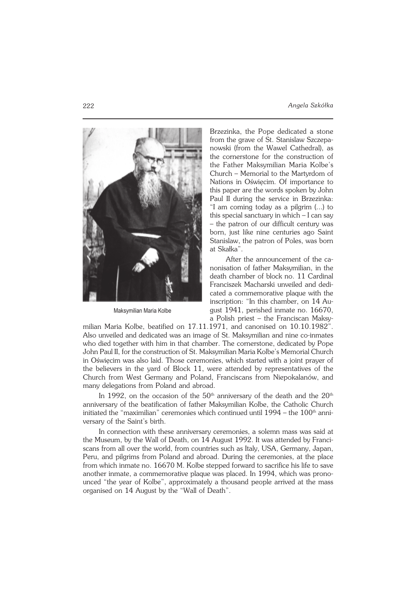

Maksymilian Maria Kolbe

Brzezinka, the Pope dedicated a stone from the grave of St. Stanislaw Szczepa− nowski (from the Wawel Cathedral), as the cornerstone for the construction of the Father Maksymilian Maria Kolbe's Church – Memorial to the Martyrdom of Nations in Oświęcim. Of importance to this paper are the words spoken by John Paul II during the service in Brzezinka: "I am coming today as a pilgrim (...) to this special sanctuary in which – I can say – the patron of our difficult century was born, just like nine centuries ago Saint Stanislaw, the patron of Poles, was born at Skałka".

After the announcement of the ca− nonisation of father Maksymilian, in the death chamber of block no. 11 Cardinal Franciszek Macharski unveiled and dedi− cated a commemorative plaque with the inscription: "In this chamber, on 14 Au− gust 1941, perished inmate no. 16670, a Polish priest – the Franciscan Maksy−

milian Maria Kolbe, beatified on 17.11.1971, and canonised on 10.10.1982". Also unveiled and dedicated was an image of St. Maksymilian and nine co−inmates who died together with him in that chamber. The cornerstone, dedicated by Pope John Paul II, for the construction of St. Maksymilian Maria Kolbe's Memorial Church in Oświęcim was also laid. Those ceremonies, which started with a joint prayer of the believers in the yard of Block 11, were attended by representatives of the Church from West Germany and Poland, Franciscans from Niepokalanów, and many delegations from Poland and abroad.

In 1992, on the occasion of the  $50<sup>th</sup>$  anniversary of the death and the  $20<sup>th</sup>$ anniversary of the beatification of father Maksymilian Kolbe, the Catholic Church initiated the "maximilian" ceremonies which continued until 1994 – the 100<sup>th</sup> anni− versary of the Saint's birth.

In connection with these anniversary ceremonies, a solemn mass was said at the Museum, by the Wall of Death, on 14 August 1992. It was attended by Franci− scans from all over the world, from countries such as Italy, USA, Germany, Japan, Peru, and pilgrims from Poland and abroad. During the ceremonies, at the place from which inmate no. 16670 M. Kolbe stepped forward to sacrifice his life to save another inmate, a commemorative plaque was placed. In 1994, which was prono− unced "the year of Kolbe", approximately a thousand people arrived at the mass organised on 14 August by the "Wall of Death".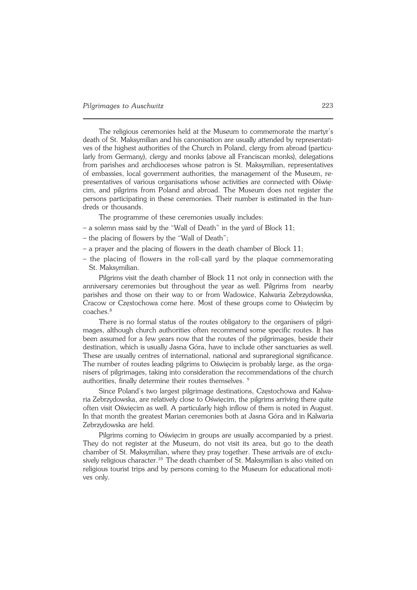The religious ceremonies held at the Museum to commemorate the martyr's death of St. Maksymilian and his canonisation are usually attended by representati− ves of the highest authorities of the Church in Poland, clergy from abroad (particu− larly from Germany), clergy and monks (above all Franciscan monks), delegations from parishes and archdioceses whose patron is St. Maksymilian, representatives of embassies, local government authorities, the management of the Museum, re− presentatives of various organisations whose activities are connected with Oświę− cim, and pilgrims from Poland and abroad. The Museum does not register the persons participating in these ceremonies. Their number is estimated in the hun− dreds or thousands.

The programme of these ceremonies usually includes:

- a solemn mass said by the "Wall of Death" in the yard of Block 11;
- the placing of flowers by the "Wall of Death";
- a prayer and the placing of flowers in the death chamber of Block 11;
- the placing of flowers in the roll−call yard by the plaque commemorating St. Maksymilian.

Pilgrims visit the death chamber of Block 11 not only in connection with the anniversary ceremonies but throughout the year as well. Pilgrims from nearby parishes and those on their way to or from Wadowice, Kalwaria Zebrzydowska, Cracow or Częstochowa come here. Most of these groups come to Oświęcim by coaches.<sup>8</sup>

There is no formal status of the routes obligatory to the organisers of pilgrimages, although church authorities often recommend some specific routes. It has been assumed for a few years now that the routes of the pilgrimages, beside their destination, which is usually Jasna Góra, have to include other sanctuaries as well. These are usually centres of international, national and supraregional significance. The number of routes leading pilgrims to Oświęcim is probably large, as the orga− nisers of pilgrimages, taking into consideration the recommendations of the church authorities, finally determine their routes themselves.<sup>9</sup>

Since Poland's two largest pilgrimage destinations, Częstochowa and Kalwa− ria Zebrzydowska, are relatively close to Oświęcim, the pilgrims arriving there quite often visit Oświęcim as well. A particularly high inflow of them is noted in August. In that month the greatest Marian ceremonies both at Jasna Góra and in Kalwaria Zebrzydowska are held.

Pilgrims coming to Oświęcim in groups are usually accompanied by a priest. They do not register at the Museum, do not visit its area, but go to the death chamber of St. Maksymilian, where they pray together. These arrivals are of exclu− sively religious character.<sup>10</sup> The death chamber of St. Maksymilian is also visited on religious tourist trips and by persons coming to the Museum for educational moti− ves only.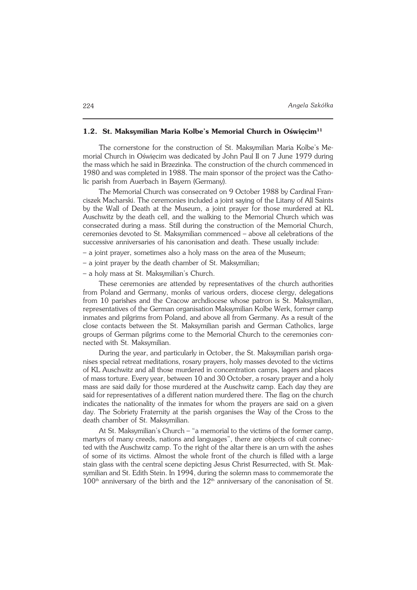#### **1.2. St. Maksymilian Maria Kolbe's Memorial Church in Oświęcim<sup>11</sup>**

The cornerstone for the construction of St. Maksymilian Maria Kolbe's Me− morial Church in Oświęcim was dedicated by John Paul II on 7 June 1979 during the mass which he said in Brzezinka. The construction of the church commenced in 1980 and was completed in 1988. The main sponsor of the project was the Catho− lic parish from Auerbach in Bayern (Germany).

The Memorial Church was consecrated on 9 October 1988 by Cardinal Fran− ciszek Macharski. The ceremonies included a joint saying of the Litany of All Saints by the Wall of Death at the Museum, a joint prayer for those murdered at KL Auschwitz by the death cell, and the walking to the Memorial Church which was consecrated during a mass. Still during the construction of the Memorial Church, ceremonies devoted to St. Maksymilian commenced – above all celebrations of the successive anniversaries of his canonisation and death. These usually include:

- a joint prayer, sometimes also a holy mass on the area of the Museum;
- a joint prayer by the death chamber of St. Maksymilian;

– a holy mass at St. Maksymilian's Church.

These ceremonies are attended by representatives of the church authorities from Poland and Germany, monks of various orders, diocese clergy, delegations from 10 parishes and the Cracow archdiocese whose patron is St. Maksymilian, representatives of the German organisation Maksymilian Kolbe Werk, former camp inmates and pilgrims from Poland, and above all from Germany. As a result of the close contacts between the St. Maksymilian parish and German Catholics, large groups of German pilgrims come to the Memorial Church to the ceremonies con− nected with St. Maksymilian.

During the year, and particularly in October, the St. Maksymilian parish orga− nises special retreat meditations, rosary prayers, holy masses devoted to the victims of KL Auschwitz and all those murdered in concentration camps, lagers and places of mass torture. Every year, between 10 and 30 October, a rosary prayer and a holy mass are said daily for those murdered at the Auschwitz camp. Each day they are said for representatives of a different nation murdered there. The flag on the church indicates the nationality of the inmates for whom the prayers are said on a given day. The Sobriety Fraternity at the parish organises the Way of the Cross to the death chamber of St. Maksymilian.

At St. Maksymilian's Church – "a memorial to the victims of the former camp, martyrs of many creeds, nations and languages", there are objects of cult connec− ted with the Auschwitz camp. To the right of the altar there is an urn with the ashes of some of its victims. Almost the whole front of the church is filled with a large stain glass with the central scene depicting Jesus Christ Resurrected, with St. Mak− symilian and St. Edith Stein. In 1994, during the solemn mass to commemorate the  $100<sup>th</sup>$  anniversary of the birth and the  $12<sup>th</sup>$  anniversary of the canonisation of St.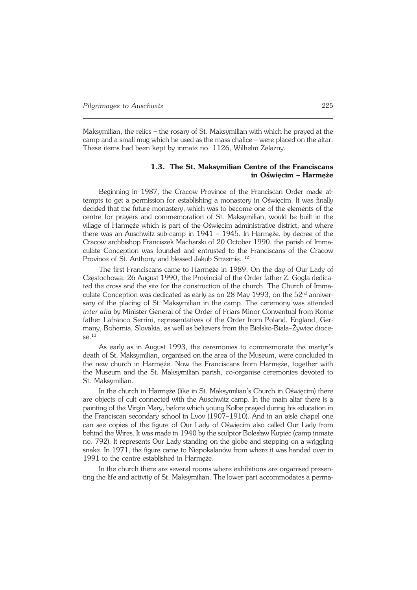Maksymilian, the relics – the rosary of St. Maksymilian with which he prayed at the camp and a small mug which he used as the mass chalice – were placed on the altar. These items had been kept by inmate no. 1126, Wilhelm Żelazny.

#### **1.3. The St. Maksymilian Centre of the Franciscans in Oświęcim – Harmęże**

Beginning in 1987, the Cracow Province of the Franciscan Order made at− tempts to get a permission for establishing a monastery in Oświęcim. It was finally decided that the future monastery, which was to become one of the elements of the centre for prayers and commemoration of St. Maksymilian, would be built in the village of Harmęże which is part of the Oświęcim administrative district, and where there was an Auschwitz sub−camp in 1941 – 1945. In Harmęże, by decree of the Cracow archbishop Franciszek Macharski of 20 October 1990, the parish of Imma− culate Conception was founded and entrusted to the Franciscans of the Cracow Province of St. Anthony and blessed Jakub Strzemię. <sup>12</sup>

The first Franciscans came to Harmęże in 1989. On the day of Our Lady of Częstochowa, 26 August 1990, the Provincial of the Order father Z. Gogla dedica− ted the cross and the site for the construction of the church. The Church of Immaculate Conception was dedicated as early as on 28 May 1993, on the 52<sup>nd</sup> anniver− sary of the placing of St. Maksymilian in the camp. The ceremony was attended *inter alia* by Minister General of the Order of Friars Minor Conventual from Rome father Lafranco Serrini, representatives of the Order from Poland, England, Ger− many, Bohemia, Slovakia, as well as believers from the Bielsko−Biała–Żywiec dioce− se.<sup>13</sup>

As early as in August 1993, the ceremonies to commemorate the martyr's death of St. Maksymilian, organised on the area of the Museum, were concluded in the new church in Harmęże. Now the Franciscans from Harmęże, together with the Museum and the St. Maksymilian parish, co−organise ceremonies devoted to St. Maksymilian.

In the church in Harmęże (like in St. Maksymilian's Church in Oświęcim) there are objects of cult connected with the Auschwitz camp. In the main altar there is a painting of the Virgin Mary, before which young Kolbe prayed during his education in the Franciscan secondary school in Lvov (1907–1910). And in an aisle chapel one can see copies of the figure of Our Lady of Oświęcim also called Our Lady from behind the Wires. It was made in 1940 by the sculptor Bolesław Kupiec (camp inmate no. 792). It represents Our Lady standing on the globe and stepping on a wriggling snake. In 1971, the figure came to Niepokalanów from where it was handed over in 1991 to the centre established in Harmęże.

In the church there are several rooms where exhibitions are organised presen− ting the life and activity of St. Maksymilian. The lower part accommodates a perma−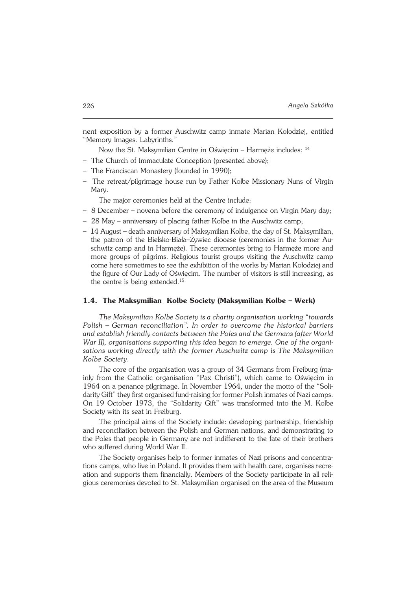nent exposition by a former Auschwitz camp inmate Marian Kołodziej, entitled "Memory Images. Labyrinths."

Now the St. Maksymilian Centre in Oświęcim – Harmęże includes: <sup>14</sup>

- The Church of Immaculate Conception (presented above);
- The Franciscan Monastery (founded in 1990);
- The retreat/pilgrimage house run by Father Kolbe Missionary Nuns of Virgin Mary.

The major ceremonies held at the Centre include:

- 8 December novena before the ceremony of indulgence on Virgin Mary day;
- 28 May anniversary of placing father Kolbe in the Auschwitz camp;
- 14 August death anniversary of Maksymilian Kolbe, the day of St. Maksymilian, the patron of the Bielsko−Biała–Żywiec diocese (ceremonies in the former Au− schwitz camp and in Harmęże). These ceremonies bring to Harmęże more and more groups of pilgrims. Religious tourist groups visiting the Auschwitz camp come here sometimes to see the exhibition of the works by Marian Kołodziej and the figure of Our Lady of Oświęcim. The number of visitors is still increasing, as the centre is being extended.<sup>15</sup>

#### **1.4. The Maksymilian Kolbe Society (Maksymilian Kolbe – Werk)**

*The Maksymilian Kolbe Society is a charity organisation working "towards Polish – German reconciliation". In order to overcome the historical barriers and establish friendly contacts between the Poles and the Germans (after World War II), organisations supporting this idea began to emerge. One of the organi− sations working directly with the former Auschwitz camp is The Maksymilian Kolbe Society*.

The core of the organisation was a group of 34 Germans from Freiburg (ma− inly from the Catholic organisation "Pax Christi"), which came to Oświęcim in 1964 on a penance pilgrimage. In November 1964, under the motto of the "Soli− darity Gift" they first organised fund−raising for former Polish inmates of Nazi camps. On 19 October 1973, the "Solidarity Gift" was transformed into the M. Kolbe Society with its seat in Freiburg.

The principal aims of the Society include: developing partnership, friendship and reconciliation between the Polish and German nations, and demonstrating to the Poles that people in Germany are not indifferent to the fate of their brothers who suffered during World War II.

The Society organises help to former inmates of Nazi prisons and concentra− tions camps, who live in Poland. It provides them with health care, organises recre− ation and supports them financially. Members of the Society participate in all reli− gious ceremonies devoted to St. Maksymilian organised on the area of the Museum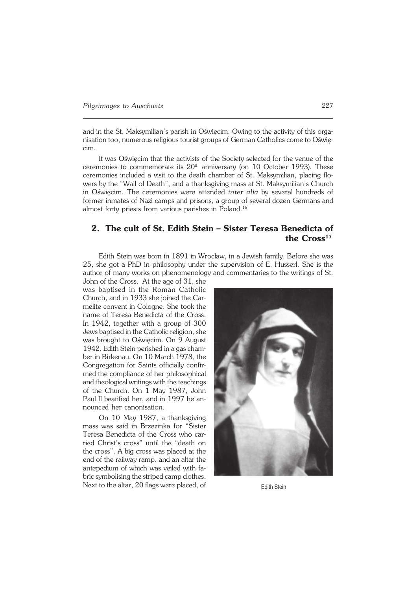and in the St.Maksymilian's parish in Oświęcim. Owing to the activity of this orga− nisation too, numerous religious tourist groups of German Catholics come to Oświę− cim.

It was Oświęcim that the activists of the Society selected for the venue of the ceremonies to commemorate its  $20<sup>th</sup>$  anniversary (on 10 October 1993). These ceremonies included a visit to the death chamber of St. Maksymilian, placing flo− wers by the "Wall of Death", and a thanksgiving mass at St. Maksymilian's Church in Oświęcim. The ceremonies were attended *inter alia* by several hundreds of former inmates of Nazi camps and prisons, a group of several dozen Germans and almost forty priests from various parishes in Poland.<sup>16</sup>

### **2. The cult of St. Edith Stein – Sister Teresa Benedicta of the Cross<sup>17</sup>**

Edith Stein was born in 1891 in Wrocław, in a Jewish family. Before she was 25, she got a PhD in philosophy under the supervision of E. Husserl. She is the author of many works on phenomenology and commentaries to the writings of St.

John of the Cross. At the age of 31, she was baptised in the Roman Catholic Church, and in 1933 she joined the Car− melite convent in Cologne. She took the name of Teresa Benedicta of the Cross. In 1942, together with a group of 300 Jews baptised in the Catholic religion, she was brought to Oświęcim. On 9 August 1942, Edith Stein perished in a gas cham− ber in Birkenau. On 10 March 1978, the Congregation for Saints officially confir− med the compliance of her philosophical and theological writings with the teachings of the Church. On 1 May 1987, John Paul II beatified her, and in 1997 he an− nounced her canonisation.

On 10 May 1987, a thanksgiving mass was said in Brzezinka for "Sister Teresa Benedicta of the Cross who car− ried Christ's cross" until the "death on the cross". A big cross was placed at the end of the railway ramp, and an altar the antepedium of which was veiled with fa− bric symbolising the striped camp clothes. Next to the altar, 20 flags were placed, of Edith Stein

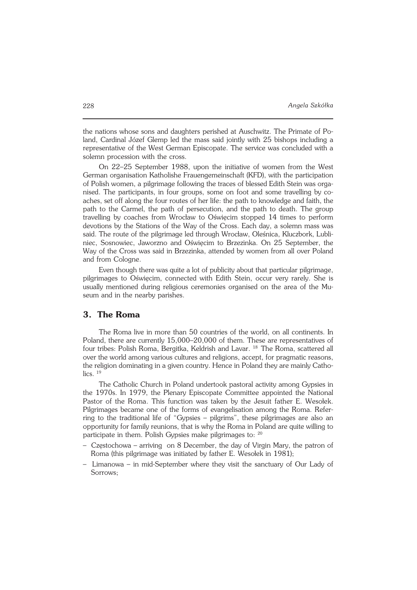the nations whose sons and daughters perished at Auschwitz. The Primate of Po− land, Cardinal Józef Glemp led the mass said jointly with 25 bishops including a representative of the West German Episcopate. The service was concluded with a solemn procession with the cross.

On 22–25 September 1988, upon the initiative of women from the West German organisation Katholishe Frauengemeinschaft (KFD), with the participation of Polish women, a pilgrimage following the traces of blessed Edith Stein was orga− nised. The participants, in four groups, some on foot and some travelling by co− aches, set off along the four routes of her life: the path to knowledge and faith, the path to the Carmel, the path of persecution, and the path to death. The group travelling by coaches from Wrocław to Oświęcim stopped 14 times to perform devotions by the Stations of the Way of the Cross. Each day, a solemn mass was said. The route of the pilgrimage led through Wrocław, Oleśnica, Kluczbork, Lubliniec, Sosnowiec, Jaworzno and Oświęcim to Brzezinka. On 25 September, the Way of the Cross was said in Brzezinka, attended by women from all over Poland and from Cologne.

Even though there was quite a lot of publicity about that particular pilgrimage, pilgrimages to Oświęcim, connected with Edith Stein, occur very rarely. She is usually mentioned during religious ceremonies organised on the area of the Mu− seum and in the nearby parishes.

### **3. The Roma**

The Roma live in more than 50 countries of the world, on all continents. In Poland, there are currently 15,000–20,000 of them. These are representatives of four tribes: Polish Roma, Bergitka, Keldrish and Lavar. 18 The Roma, scattered all over the world among various cultures and religions, accept, for pragmatic reasons, the religion dominating in a given country. Hence in Poland they are mainly Catho−  $\text{lics.}$ <sup>19</sup>

The Catholic Church in Poland undertook pastoral activity among Gypsies in the 1970s. In 1979, the Plenary Episcopate Committee appointed the National Pastor of the Roma. This function was taken by the Jesuit father E. Wesołek. Pilgrimages became one of the forms of evangelisation among the Roma. Refer− ring to the traditional life of "Gypsies – pilgrims", these pilgrimages are also an opportunity for family reunions, that is why the Roma in Poland are quite willing to participate in them. Polish Gypsies make pilgrimages to: <sup>20</sup>

- Częstochowa arriving on 8 December, the day of Virgin Mary, the patron of Roma (this pilgrimage was initiated by father E. Wesołek in 1981);
- Limanowa in mid−September where they visit the sanctuary of Our Lady of Sorrows;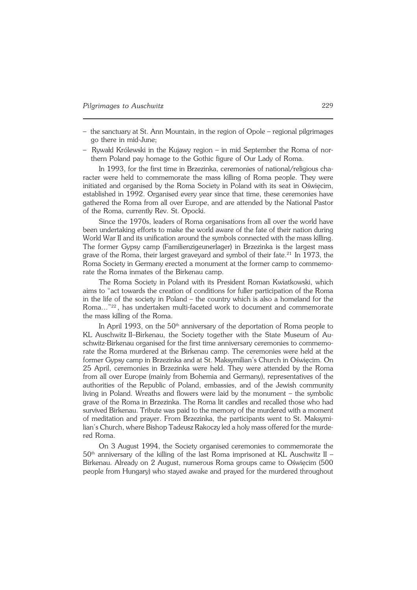- the sanctuary at St. Ann Mountain, in the region of Opole regional pilgrimages go there in mid−June;
- Rywałd Królewski in the Kujawy region in mid September the Roma of nor− thern Poland pay homage to the Gothic figure of Our Lady of Roma.

In 1993, for the first time in Brzezinka, ceremonies of national/religious cha− racter were held to commemorate the mass killing of Roma people. They were initiated and organised by the Roma Society in Poland with its seat in Oświęcim, established in 1992. Organised every year since that time, these ceremonies have gathered the Roma from all over Europe, and are attended by the National Pastor of the Roma, currently Rev. St.Opocki.

Since the 1970s, leaders of Roma organisations from all over the world have been undertaking efforts to make the world aware of the fate of their nation during World War II and its unification around the symbols connected with the mass killing. The former Gypsy camp (Familienzigeunerlager) in Brzezinka is the largest mass grave of the Roma, their largest graveyard and symbol of their fate.<sup>21</sup> In 1973, the Roma Society in Germany erected a monument at the former camp to commemo− rate the Roma inmates of the Birkenau camp.

The Roma Society in Poland with its President Roman Kwiatkowski, which aims to "act towards the creation of conditions for fuller participation of the Roma in the life of the society in Poland – the country which is also a homeland for the Roma..."<sup>22</sup> , has undertaken multi−faceted work to document and commemorate the mass killing of the Roma.

In April 1993, on the  $50<sup>th</sup>$  anniversary of the deportation of Roma people to KL Auschwitz II–Birkenau, the Society together with the State Museum of Auschwitz−Birkenau organised for the first time anniversary ceremonies to commemo rate the Roma murdered at the Birkenau camp. The ceremonies were held at the former Gypsy camp in Brzezinka and at St. Maksymilian's Church in Oświęcim. On 25 April, ceremonies in Brzezinka were held. They were attended by the Roma from all over Europe (mainly from Bohemia and Germany), representatives of the authorities of the Republic of Poland, embassies, and of the Jewish community living in Poland. Wreaths and flowers were laid by the monument – the symbolic grave of the Roma in Brzezinka. The Roma lit candles and recalled those who had survived Birkenau. Tribute was paid to the memory of the murdered with a moment of meditation and prayer. From Brzezinka, the participants went to St. Maksymi− lian's Church, where Bishop Tadeusz Rakoczy led a holy mass offered for the murde− red Roma.

On 3 August 1994, the Society organised ceremonies to commemorate the  $50<sup>th</sup>$  anniversary of the killing of the last Roma imprisoned at KL Auschwitz II – Birkenau. Already on 2 August, numerous Roma groups came to Oświęcim (500 people from Hungary) who stayed awake and prayed for the murdered throughout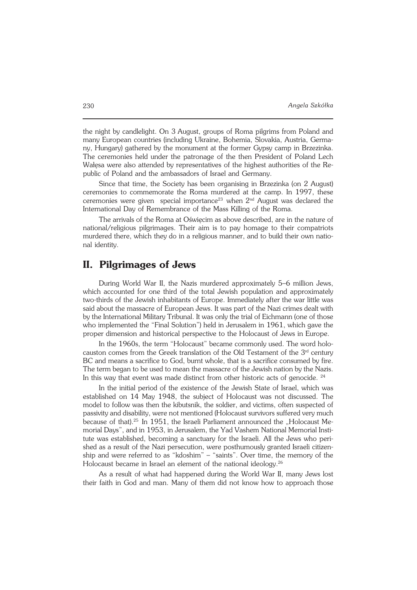the night by candlelight. On 3August, groups of Roma pilgrims from Poland and many European countries (including Ukraine, Bohemia, Slovakia, Austria, Germa− ny, Hungary) gathered by the monument at the former Gypsy camp in Brzezinka. The ceremonies held under the patronage of the then President of Poland Lech Wałęsa were also attended by representatives of the highest authorities of the Re− public of Poland and the ambassadors of Israel and Germany.

Since that time, the Society has been organising in Brzezinka (on 2 August) ceremonies to commemorate the Roma murdered at the camp. In 1997, these ceremonies were given special importance<sup>23</sup> when  $2<sup>nd</sup>$  August was declared the International Day of Remembrance of the Mass Killing of the Roma.

The arrivals of the Roma at Oświecim as above described, are in the nature of national/religious pilgrimages. Their aim is to pay homage to their compatriots murdered there, which they do in a religious manner, and to build their own natio− nal identity.

# **II. Pilgrimages of Jews**

During World War II, the Nazis murdered approximately 5–6 million Jews, which accounted for one third of the total Jewish population and approximately two−thirds of the Jewish inhabitants of Europe. Immediately after the war little was said about the massacre of European Jews. It was part of the Nazi crimes dealt with by the International Military Tribunal. It was only the trial of Eichmann (one of those who implemented the "Final Solution") held in Jerusalem in 1961, which gave the proper dimension and historical perspective to the Holocaust of Jews in Europe.

In the 1960s, the term "Holocaust" became commonly used. The word holo− causton comes from the Greek translation of the Old Testament of the 3<sup>rd</sup> century BC and means a sacrifice to God, burnt whole, that is a sacrifice consumed by fire. The term began to be used to mean the massacre of the Jewish nation by the Nazis. In this way that event was made distinct from other historic acts of genocide. <sup>24</sup>

In the initial period of the existence of the Jewish State of Israel, which was established on 14 May 1948, the subject of Holocaust was not discussed. The model to follow was then the kibutsnik, the soldier, and victims, often suspected of passivity and disability, were not mentioned (Holocaust survivors suffered very much because of that).<sup>25</sup> In 1951, the Israeli Parliament announced the "Holocaust Memorial Days", and in 1953, in Jerusalem, the Yad Vashem National Memorial Insti− tute was established, becoming a sanctuary for the Israeli. All the Jews who peri− shed as a result of the Nazi persecution, were posthumously granted Israeli citizen− ship and were referred to as "kdoshim" – "saints". Over time, the memory of the Holocaust became in Israel an element of the national ideology.<sup>26</sup>

As a result of what had happened during the World War II, many Jews lost their faith in God and man. Many of them did not know how to approach those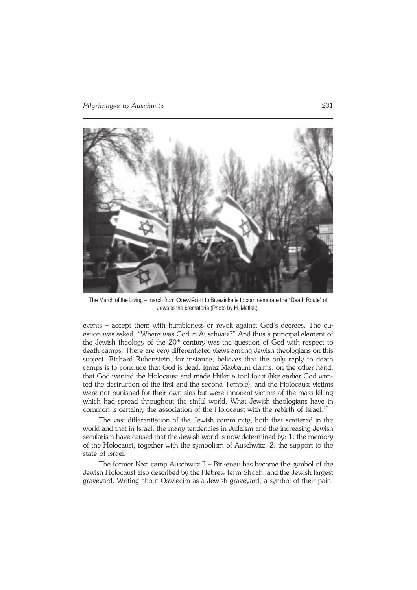

The March of the Living – march from Oœwiêcim to Brzezinka is to commemorate the "Death Route" of Jews to the crematoria (Photo by H. Matlak).

events – accept them with humbleness or revolt against God's decrees. The qu− estion was asked: "Where was God in Auschwitz?" And thus a principal element of the Jewish theology of the  $20<sup>th</sup>$  century was the question of God with respect to death camps. There are very differentiated views among Jewish theologians on this subject. Richard Rubenstein, for instance, believes that the only reply to death camps is to conclude that God is dead. Ignaz Maybaum claims, on the other hand, that God wanted the Holocaust and made Hitler a tool for it (like earlier God wan− ted the destruction of the first and the second Temple), and the Holocaust victims were not punished for their own sins but were innocent victims of the mass killing which had spread throughout the sinful world. What Jewish theologians have in common is certainly the association of the Holocaust with the rebirth of Israel.<sup>27</sup>

The vast differentiation of the Jewish community, both that scattered in the world and that in Israel, the many tendencies in Judaism and the increasing Jewish secularism have caused that the Jewish world is now determined by: 1. the memory of the Holocaust, together with the symbolism of Auschwitz, 2. the support to the state of Israel.

The former Nazi camp Auschwitz II – Birkenau has become the symbol of the Jewish Holocaust also described by the Hebrew term Shoah, and the Jewish largest graveyard. Writing about Oświęcim as a Jewish graveyard, a symbol of their pain,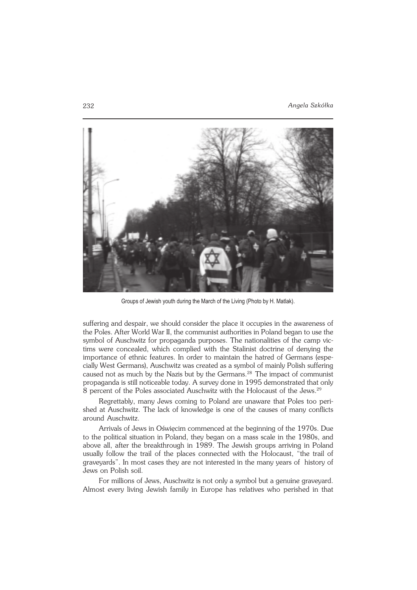

Groups of Jewish youth during the March of the Living (Photo by H. Matlak).

suffering and despair, we should consider the place it occupies in the awareness of the Poles. After World War II, the communist authorities in Poland began to use the symbol of Auschwitz for propaganda purposes. The nationalities of the camp vic− tims were concealed, which complied with the Stalinist doctrine of denying the importance of ethnic features. In order to maintain the hatred of Germans (espe− cially West Germans), Auschwitz was created as a symbol of mainly Polish suffering caused not as much by the Nazis but by the Germans.<sup>28</sup> The impact of communist propaganda is still noticeable today. A survey done in 1995 demonstrated that only 8 percent of the Poles associated Auschwitz with the Holocaust of the Jews.<sup>29</sup>

Regrettably, many Jews coming to Poland are unaware that Poles too peri− shed at Auschwitz. The lack of knowledge is one of the causes of many conflicts around Auschwitz.

Arrivals of Jews in Oświęcim commenced at the beginning of the 1970s. Due to the political situation in Poland, they began on a mass scale in the 1980s, and above all, after the breakthrough in 1989. The Jewish groups arriving in Poland usually follow the trail of the places connected with the Holocaust, "the trail of graveyards". In most cases they are not interested in the many years of history of Jews on Polish soil.

For millions of Jews, Auschwitz is not only a symbol but a genuine graveyard. Almost every living Jewish family in Europe has relatives who perished in that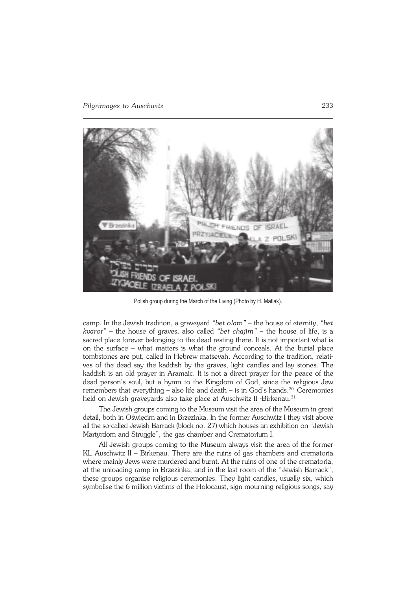

Polish group during the March of the Living (Photo by H. Matlak).

camp. In the Jewish tradition, a graveyard *"bet olam"* – the house of eternity, *"bet kvarot"* – the house of graves, also called *"bet chajim"* – the house of life, is a sacred place forever belonging to the dead resting there. It is not important what is on the surface – what matters is what the ground conceals. At the burial place tombstones are put, called in Hebrew matsevah. According to the tradition, relati− ves of the dead say the kaddish by the graves, light candles and lay stones. The kaddish is an old prayer in Aramaic. It is not a direct prayer for the peace of the dead person's soul, but a hymn to the Kingdom of God, since the religious Jew remembers that everything – also life and death – is in God's hands.<sup>30</sup> Ceremonies held on Jewish graveyards also take place at Auschwitz II -Birkenau.<sup>31</sup>

The Jewish groups coming to the Museum visit the area of the Museum in great detail, both in Oświęcim and in Brzezinka. In the former Auschwitz I they visit above all the so−called Jewish Barrack (block no. 27) which houses an exhibition on "Jewish Martyrdom and Struggle", the gas chamber and Crematorium I.

All Jewish groups coming to the Museum always visit the area of the former KL Auschwitz II – Birkenau. There are the ruins of gas chambers and crematoria where mainly Jews were murdered and burnt. At the ruins of one of the crematoria, at the unloading ramp in Brzezinka, and in the last room of the "Jewish Barrack", these groups organise religious ceremonies. They light candles, usually six, which symbolise the 6 million victims of the Holocaust, sign mourning religious songs, say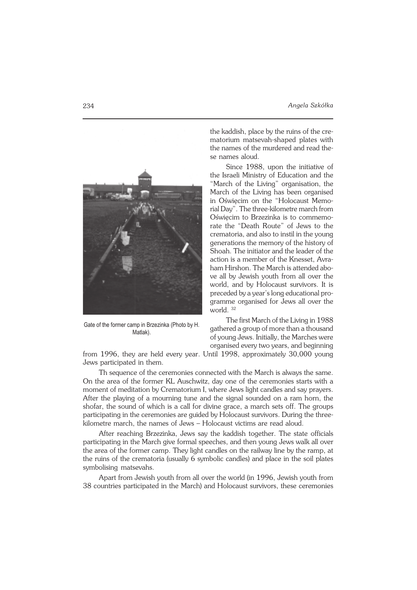

Gate of the former camp in Brzezinka (Photo by H. Matlak).

the kaddish, place by the ruins of the cre− matorium matsevah−shaped plates with the names of the murdered and read the− se names aloud.

Since 1988, upon the initiative of the Israeli Ministry of Education and the "March of the Living" organisation, the March of the Living has been organised in Oświęcim on the "Holocaust Memo− rial Day". The three−kilometre march from Oświęcim to Brzezinka is to commemo− rate the "Death Route" of Jews to the crematoria, and also to instil in the young generations the memory of the history of Shoah. The initiator and the leader of the action is a member of the Knesset, Avra− ham Hirshon. The March is attended abo− ve all by Jewish youth from all over the world, and by Holocaust survivors. It is preceded by a year's long educational pro− gramme organised for Jews all over the world. <sup>32</sup>

The first March of the Living in 1988 gathered a group of more than a thousand of young Jews. Initially, the Marches were organised every two years, and beginning

from 1996, they are held every year. Until 1998, approximately 30,000 young Jews participated in them.

Th sequence of the ceremonies connected with the March is always the same. On the area of the former KL Auschwitz, day one of the ceremonies starts with a moment of meditation by Crematorium I, where Jews light candles and say prayers. After the playing of a mourning tune and the signal sounded on a ram horn, the shofar, the sound of which is a call for divine grace, a march sets off. The groups participating in the ceremonies are guided by Holocaust survivors. During the three− kilometre march, the names of Jews – Holocaust victims are read aloud.

After reaching Brzezinka, Jews say the kaddish together. The state officials participating in the March give formal speeches, and then young Jews walk all over the area of the former camp. They light candles on the railway line by the ramp, at the ruins of the crematoria (usually 6 symbolic candles) and place in the soil plates symbolising matsevahs.

Apart from Jewish youth from all over the world (in 1996, Jewish youth from 38 countries participated in the March) and Holocaust survivors, these ceremonies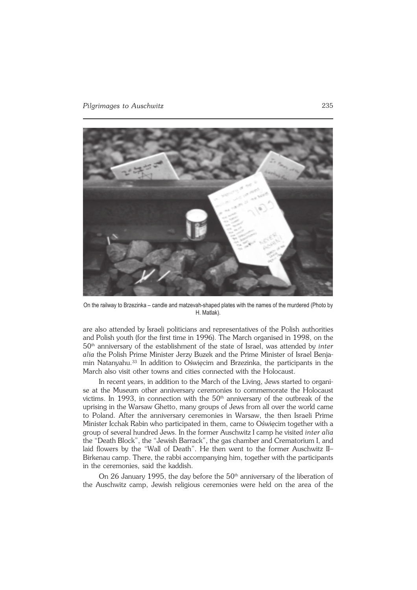

On the railway to Brzezinka – candle and matzevah-shaped plates with the names of the murdered (Photo by H. Matlak).

are also attended by Israeli politicians and representatives of the Polish authorities and Polish youth (for the first time in 1996). The March organised in 1998, on the 50th anniversary of the establishment of the state of Israel, was attended by *inter alia* the Polish Prime Minister Jerzy Buzek and the Prime Minister of Israel Benja− min Natanyahu.33 In addition to Oświęcim and Brzezinka, the participants in the March also visit other towns and cities connected with the Holocaust.

In recent years, in addition to the March of the Living, Jews started to organi− se at the Museum other anniversary ceremonies to commemorate the Holocaust victims. In 1993, in connection with the  $50<sup>th</sup>$  anniversary of the outbreak of the uprising in the Warsaw Ghetto, many groups of Jews from all over the world came to Poland. After the anniversary ceremonies in Warsaw, the then Israeli Prime Minister Icchak Rabin who participated in them, came to Oświęcim together with a group of several hundred Jews. In the former Auschwitz I camp he visited *inter alia* the "Death Block", the "Jewish Barrack", the gas chamber and Crematorium I, and laid flowers by the "Wall of Death". He then went to the former Auschwitz II– Birkenau camp. There, the rabbi accompanying him, together with the participants in the ceremonies, said the kaddish.

On 26 January 1995, the day before the  $50<sup>th</sup>$  anniversary of the liberation of the Auschwitz camp, Jewish religious ceremonies were held on the area of the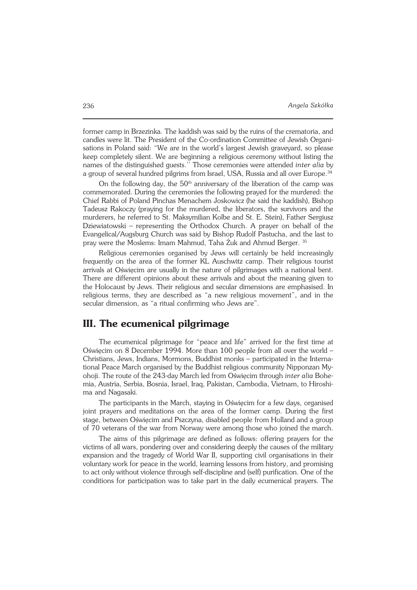former camp in Brzezinka. The kaddish was said by the ruins of the crematoria, and candles were lit. The President of the Co−ordination Committee of Jewish Organi− sations in Poland said: "We are in the world's largest Jewish graveyard, so please keep completely silent. We are beginning a religious ceremony without listing the names of the distinguished guests.'' Those ceremonies were attended *inter alia* by a group of several hundred pilgrims from Israel, USA, Russia and all over Europe.<sup>34</sup>

On the following day, the  $50<sup>th</sup>$  anniversary of the liberation of the camp was commemorated. During the ceremonies the following prayed for the murdered: the Chief Rabbi of Poland Pinchas Menachem Joskowicz (he said the kaddish), Bishop Tadeusz Rakoczy (praying for the murdered, the liberators, the survivors and the murderers, he referred to St. Maksymilian Kolbe and St. E. Stein), Father Sergiusz Dziewiatowski – representing the Orthodox Church. A prayer on behalf of the Evangelical/Augsburg Church was said by Bishop Rudolf Pastucha, and the last to pray were the Moslems: Imam Mahmud, Taha Żuk and Ahmud Berger. <sup>35</sup>

Religious ceremonies organised by Jews will certainly be held increasingly frequently on the area of the former KL Auschwitz camp. Their religious tourist arrivals at Oświęcim are usually in the nature of pilgrimages with a national bent. There are different opinions about these arrivals and about the meaning given to the Holocaust by Jews. Their religious and secular dimensions are emphasised. In religious terms, they are described as "a new religious movement", and in the secular dimension, as "a ritual confirming who Jews are".

## **III. The ecumenical pilgrimage**

The ecumenical pilgrimage for "peace and life" arrived for the first time at Oświęcim on 8 December 1994. More than 100 people from all over the world – Christians, Jews, Indians, Mormons, Buddhist monks – participated in the Interna− tional Peace March organised by the Buddhist religious community Nipponzan My− ohoji. The route of the 243−day March led from Oświęcim through *inter alia* Bohe− mia, Austria, Serbia, Bosnia, Israel, Iraq, Pakistan, Cambodia, Vietnam, to Hiroshi− ma and Nagasaki.

The participants in the March, staying in Oświęcim for a few days, organised joint prayers and meditations on the area of the former camp. During the first stage, between Oświęcim and Pszczyna, disabled people from Holland and a group of 70 veterans of the war from Norway were among those who joined the march.

The aims of this pilgrimage are defined as follows: offering prayers for the victims of all wars, pondering over and considering deeply the causes of the military expansion and the tragedy of World War II, supporting civil organisations in their voluntary work for peace in the world, learning lessons from history, and promising to act only without violence through self−discipline and (self) purification. One of the conditions for participation was to take part in the daily ecumenical prayers. The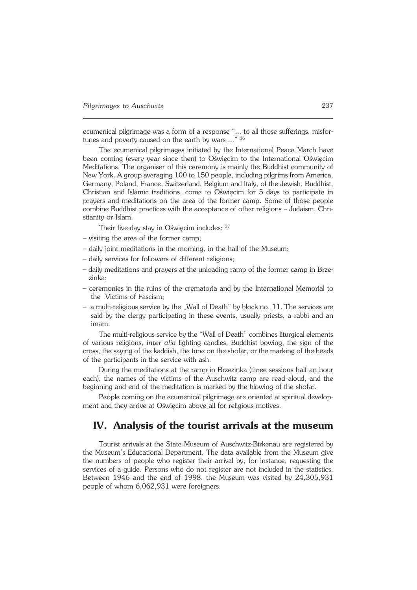ecumenical pilgrimage was a form of a response "... to all those sufferings, misfor− tunes and poverty caused on the earth by wars ..." 36

The ecumenical pilgrimages initiated by the International Peace March have been coming (every year since then) to Oświęcim to the International Oświęcim Meditations. The organiser of this ceremony is mainly the Buddhist community of New York. A group averaging 100 to 150 people, including pilgrims from America, Germany, Poland, France, Switzerland, Belgium and Italy, of the Jewish, Buddhist, Christian and Islamic traditions, come to Oświęcim for 5 days to participate in prayers and meditations on the area of the former camp. Some of those people combine Buddhist practices with the acceptance of other religions – Judaism, Chri− stianity or Islam.

Their five-day stay in Oświecim includes: <sup>37</sup>

- visiting the area of the former camp;
- daily joint meditations in the morning, in the hall of the Museum;
- daily services for followers of different religions;
- daily meditations and prayers at the unloading ramp of the former camp in Brze− zinka;
- ceremonies in the ruins of the crematoria and by the International Memorial to the Victims of Fascism;
- a multi−religious service by the "Wall of Death" by block no. 11. The services are said by the clergy participating in these events, usually priests, a rabbi and an imam.

The multi−religious service by the "Wall of Death" combines liturgical elements of various religions, *inter alia* lighting candles, Buddhist bowing, the sign of the cross, the saying of the kaddish, the tune on the shofar, or the marking of the heads of the participants in the service with ash.

During the meditations at the ramp in Brzezinka (three sessions half an hour each), the names of the victims of the Auschwitz camp are read aloud, and the beginning and end of the meditation is marked by the blowing of the shofar.

People coming on the ecumenical pilgrimage are oriented at spiritual development and they arrive at Oświęcim above all for religious motives.

## **IV. Analysis of the tourist arrivals at the museum**

Tourist arrivals at the State Museum of Auschwitz−Birkenau are registered by the Museum's Educational Department. The data available from the Museum give the numbers of people who register their arrival by, for instance, requesting the services of a guide. Persons who do not register are not included in the statistics. Between 1946 and the end of 1998, the Museum was visited by 24,305,931 people of whom 6,062,931 were foreigners.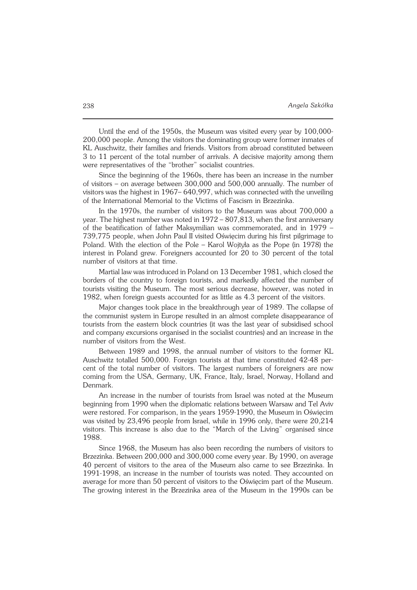Until the end of the 1950s, the Museum was visited every year by 100,000− 200,000 people. Among the visitors the dominating group were former inmates of KL Auschwitz, their families and friends. Visitors from abroad constituted between 3 to 11 percent of the total number of arrivals. A decisive majority among them were representatives of the "brother" socialist countries.

Since the beginning of the 1960s, there has been an increase in the number of visitors – on average between 300,000 and 500,000 annually. The number of visitors was the highest in 1967– 640,997, which was connected with the unveiling of the International Memorial to the Victims of Fascism in Brzezinka.

In the 1970s, the number of visitors to the Museum was about 700,000 a year. The highest number was noted in 1972 – 807,813, when the first anniversary of the beatification of father Maksymilian was commemorated, and in 1979 – 739,775 people, when John Paul II visited Oświęcim during his first pilgrimage to Poland. With the election of the Pole – Karol Wojtyła as the Pope (in 1978) the interest in Poland grew. Foreigners accounted for 20 to 30 percent of the total number of visitors at that time.

Martial law was introduced in Poland on 13 December 1981, which closed the borders of the country to foreign tourists, and markedly affected the number of tourists visiting the Museum. The most serious decrease, however, was noted in 1982, when foreign guests accounted for as little as 4.3 percent of the visitors.

Major changes took place in the breakthrough year of 1989. The collapse of the communist system in Europe resulted in an almost complete disappearance of tourists from the eastern block countries (it was the last year of subsidised school and company excursions organised in the socialist countries) and an increase in the number of visitors from the West.

Between 1989 and 1998, the annual number of visitors to the former KL Auschwitz totalled 500,000. Foreign tourists at that time constituted 42−48 per− cent of the total number of visitors. The largest numbers of foreigners are now coming from the USA, Germany, UK, France, Italy, Israel, Norway, Holland and Denmark.

An increase in the number of tourists from Israel was noted at the Museum beginning from 1990 when the diplomatic relations between Warsaw and Tel Aviv were restored. For comparison, in the years 1959−1990, the Museum in Oświęcim was visited by 23,496 people from Israel, while in 1996 only, there were 20,214 visitors. This increase is also due to the "March of the Living" organised since 1988.

Since 1968, the Museum has also been recording the numbers of visitors to Brzezinka. Between 200,000 and 300,000 come every year. By 1990, on average 40 percent of visitors to the area of the Museum also came to see Brzezinka. In 1991−1998, an increase in the number of tourists was noted. They accounted on average for more than 50 percent of visitors to the Oświęcim part of the Museum. The growing interest in the Brzezinka area of the Museum in the 1990s can be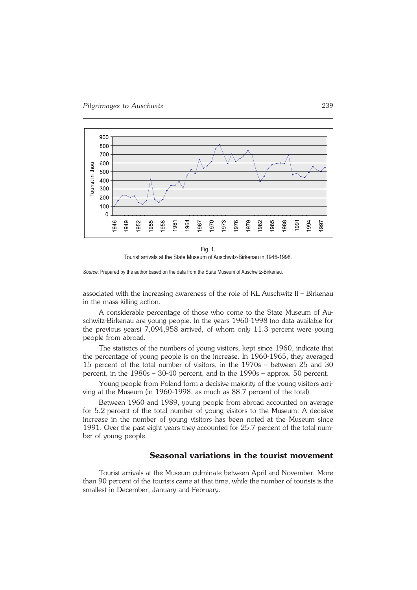

Fig. 1. Tourist arrivals at the State Museum of Auschwitz-Birkenau in 1946-1998.

*Source*: Prepared by the author based on the data from the State Museum of Auschwitz-Birkenau.

associated with the increasing awareness of the role of KL Auschwitz II – Birkenau in the mass killing action.

A considerable percentage of those who come to the State Museum of Au− schwitz−Birkenau are young people. In the years 1960−1998 (no data available for the previous years) 7,094,958 arrived, of whom only 11.3 percent were young people from abroad.

The statistics of the numbers of young visitors, kept since 1960, indicate that the percentage of young people is on the increase. In 1960−1965, they averaged 15 percent of the total number of visitors, in the 1970s – between 25 and 30 percent, in the 1980s – 30−40 percent, and in the 1990s – approx. 50 percent.

Young people from Poland form a decisive majority of the young visitors arri− ving at the Museum (in 1960−1998, as much as 88.7 percent of the total).

Between 1960 and 1989, young people from abroad accounted on average for 5.2 percent of the total number of young visitors to the Museum. A decisive increase in the number of young visitors has been noted at the Museum since 1991. Over the past eight years they accounted for 25.7 percent of the total num− ber of young people.

### **Seasonal variations in the tourist movement**

Tourist arrivals at the Museum culminate between April and November. More than 90 percent of the tourists came at that time, while the number of tourists is the smallest in December, January and February.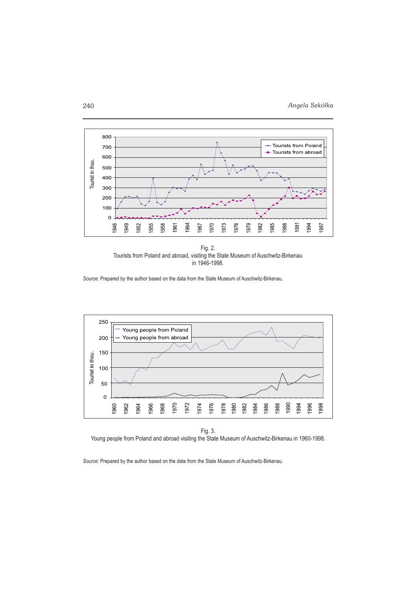



*Source*: Prepared by the author based on the data from the State Museum of Auschwitz-Birkenau.



Fig. 3. Young people from Poland and abroad visiting the State Museum of Auschwitz-Birkenau in 1960-1998.

*Source*: Prepared by the author based on the data from the State Museum of Auschwitz-Birkenau.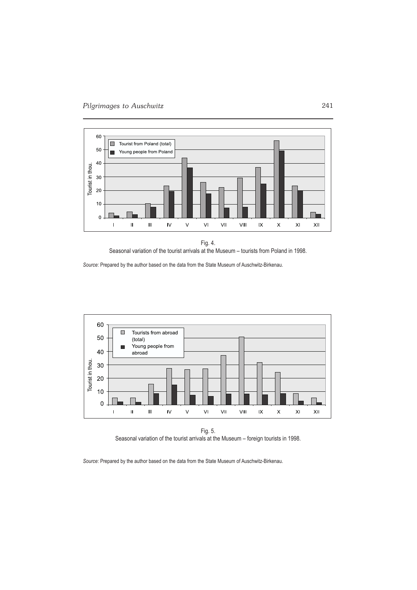

Fig. 4. Seasonal variation of the tourist arrivals at the Museum – tourists from Poland in 1998.

*Source*: Prepared by the author based on the data from the State Museum of Auschwitz-Birkenau.



Fig. 5. Seasonal variation of the tourist arrivals at the Museum – foreign tourists in 1998.

*Source*: Prepared by the author based on the data from the State Museum of Auschwitz-Birkenau.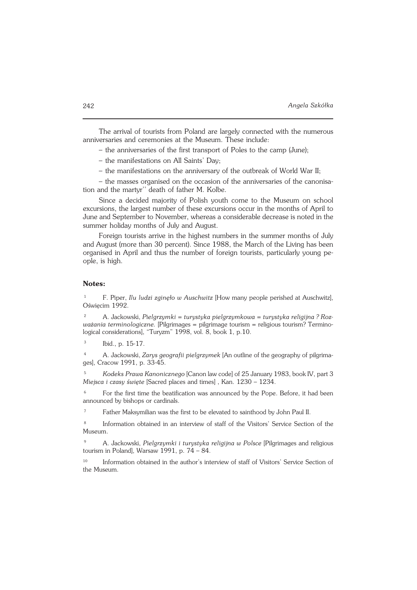The arrival of tourists from Poland are largely connected with the numerous anniversaries and ceremonies at the Museum. These include:

– the anniversaries of the first transport of Poles to the camp (June);

– the manifestations on All Saints' Day;

– the manifestations on the anniversary of the outbreak of World War II;

– the masses organised on the occasion of the anniversaries of the canonisa− tion and the martyr'' death of father M. Kolbe.

Since a decided majority of Polish youth come to the Museum on school excursions, the largest number of these excursions occur in the months of April to June and September to November, whereas a considerable decrease is noted in the summer holiday months of July and August.

Foreign tourists arrive in the highest numbers in the summer months of July and August (more than 30 percent). Since 1988, the March of the Living has been organised in April and thus the number of foreign tourists, particularly young pe− ople, is high.

#### **Notes:**

<sup>1</sup> F. Piper, *Ilu ludzi zginęło w Auschwitz* [How many people perished at Auschwitz], Oświęcim 1992.

<sup>2</sup> A. Jackowski, *Pielgrzymki = turystyka pielgrzymkowa = turystyka religijna ? Roz− ważania terminologiczne.* [Pilgrimages = pilgrimage tourism = religious tourism? Termino− logical considerations], "Turyzm" 1998, vol. 8, book 1, p.10.

3 Ibid., p. 15−17.

<sup>4</sup> A. Jackowski, *Zarys geografii pielgrzymek* [An outline of the geography of pilgrima− ges], Cracow 1991, p. 33−45.

<sup>5</sup> *Kodeks Prawa Kanonicznego* [Canon law code] of 25 January 1983, book IV, part 3 *Miejsca i czasy święte* [Sacred places and times] , Kan. 1230 – 1234.

<sup>6</sup> For the first time the beatification was announced by the Pope. Before, it had been announced by bishops or cardinals.

<sup>7</sup> Father Maksymilian was the first to be elevated to sainthood by John Paul II.

8 Information obtained in an interview of staff of the Visitors' Service Section of the Museum.

<sup>9</sup> A. Jackowski, *Pielgrzymki i turystyka religijna w Polsce* [Pilgrimages and religious tourism in Poland], Warsaw 1991, p. 74 – 84.

<sup>10</sup> Information obtained in the author's interview of staff of Visitors' Service Section of the Museum.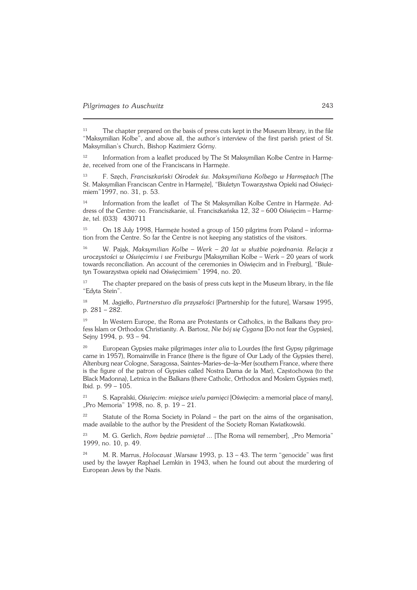<sup>11</sup> The chapter prepared on the basis of press cuts kept in the Museum library, in the file "Maksymilian Kolbe", and above all, the author's interview of the first parish priest of St. Maksymilian's Church, Bishop Kazimierz Górny.

<sup>12</sup> Information from a leaflet produced by The St Maksymilian Kolbe Centre in Harmę− że, received from one of the Franciscans in Harmęże.

<sup>13</sup> F. Szęch, *Franciszkański Ośrodek św. Maksymiliana Kolbego w Harmężach* [The St. Maksymilian Franciscan Centre in Harmęże], "Biuletyn Towarzystwa Opieki nad Oświęci− miem"1997, no. 31, p. 53.

<sup>14</sup> Information from the leaflet of The St Maksymilian Kolbe Centre in Harmęże. Ad− dress of the Centre: oo. Franciszkanie, ul. Franciszkańska 12, 32 – 600 Oświęcim – Harmę− że, tel. (033) 430711

<sup>15</sup> On 18 July 1998, Harmęże hosted a group of 150 pilgrims from Poland – informa− tion from the Centre. So far the Centre is not keeping any statistics of the visitors.

<sup>16</sup> W. Pająk, *Maksymilian Kolbe – Werk – 20 lat w służbie pojednania. Relacja z uroczystości w Oświęcimiu i we Freiburgu* [Maksymilian Kolbe – Werk – 20 years of work towards reconciliation. An account of the ceremonies in Oświęcim and in Freiburg], "Biule− tyn Towarzystwa opieki nad Oświęcimiem" 1994, no. 20.

<sup>17</sup> The chapter prepared on the basis of press cuts kept in the Museum library, in the file "Edyta Stein".

<sup>18</sup> M. Jagiełło, *Partnerstwo dla przyszłości* [Partnership for the future], Warsaw 1995, p. 281 – 282.

<sup>19</sup> In Western Europe, the Roma are Protestants or Catholics, in the Balkans they profess Islam or Orthodox Christianity. A. Bartosz, *Nie bój się Cygana* [Do not fear the Gypsies], Sejny 1994, p. 93 – 94.

<sup>20</sup> European Gypsies make pilgrimages *inter alia* to Lourdes (the first Gypsy pilgrimage came in 1957), Romainville in France (there is the figure of Our Lady of the Gypsies there), Altenburg near Cologne, Saragossa, Saintes–Maries–de–la–Mer (southern France, where there is the figure of the patron of Gypsies called Nostra Dama de la Mar), Częstochowa (to the Black Madonna), Letnica in the Balkans (there Catholic, Orthodox and Moslem Gypsies met), Ibid. p. 99 – 105.

<sup>21</sup> S. Kapralski, *Oświęcim: miejsce wielu pamięci* [Oświęcim: a memorial place of many], "Pro Memoria" 1998, no. 8, p. 19 – 21.

 $22$  Statute of the Roma Society in Poland – the part on the aims of the organisation, made available to the author by the President of the Society Roman Kwiatkowski.

<sup>23</sup> M. G. Gerlich, *Rom będzie pamiętał ...* [The Roma will remember], "Pro Memoria" 1999, no. 10, p. 49.

<sup>24</sup> M. R. Marrus, *Holocaust* ,Warsaw 1993, p. 13 – 43. The term "genocide" was first used by the lawyer Raphael Lemkin in 1943, when he found out about the murdering of European Jews by the Nazis.